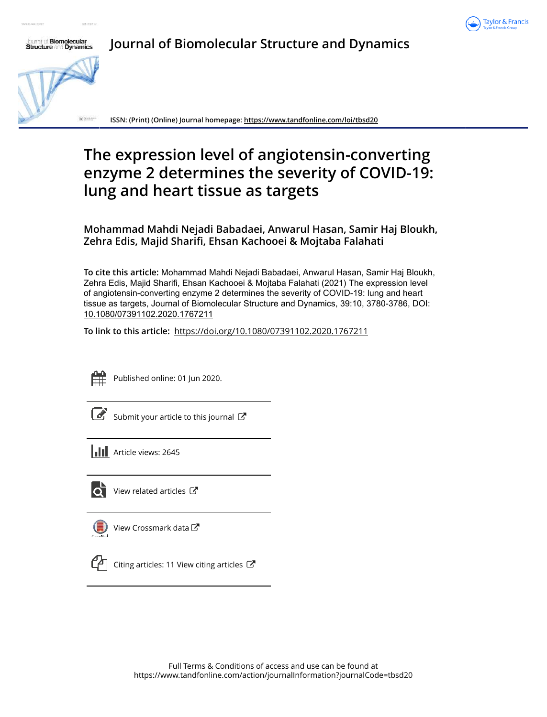



**Journal of Biomolecular Structure and Dynamics**

**ISSN: (Print) (Online) Journal homepage: https://www.tandfonline.com/loi/tbsd20**

# **The expression level of angiotensin-converting enzyme 2 determines the severity of COVID-19: lung and heart tissue as targets**

**Mohammad Mahdi Nejadi Babadaei, Anwarul Hasan, Samir Haj Bloukh, Zehra Edis, Majid Sharifi, Ehsan Kachooei & Mojtaba Falahati**

**To cite this article:** Mohammad Mahdi Nejadi Babadaei, Anwarul Hasan, Samir Haj Bloukh, Zehra Edis, Majid Sharifi, Ehsan Kachooei & Mojtaba Falahati (2021) The expression level of angiotensin-converting enzyme 2 determines the severity of COVID-19: lung and heart tissue as targets, Journal of Biomolecular Structure and Dynamics, 39:10, 3780-3786, DOI: 10.1080/07391102.2020.1767211

**To link to this article:** https://doi.org/10.1080/07391102.2020.1767211



Published online: 01 Jun 2020.

|--|

Submit your article to this journal  $\mathbb{Z}$ 

**III** Article views: 2645



View related articles C

View Crossmark data  $\mathbb{Z}$ 



Citing articles: 11 View citing articles  $\mathbb{Z}$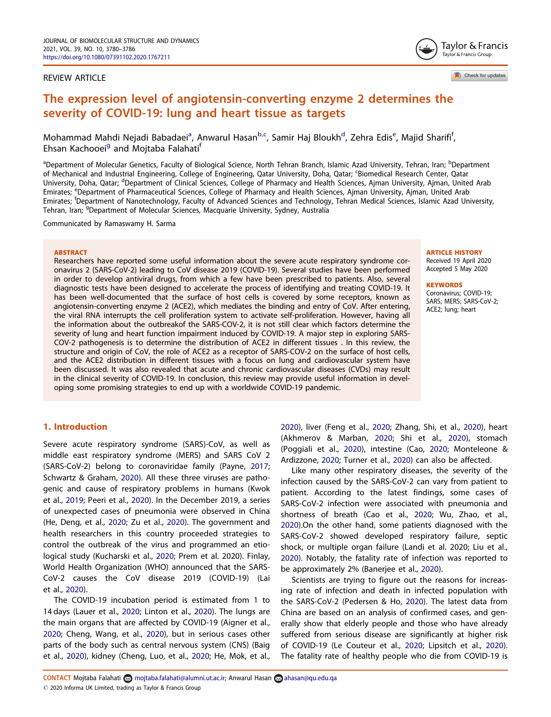#### REVIEW ARTICLE

Taylor & Francis Taylor & Francis Group

Check for updates

## The expression level of angiotensin-converting enzyme 2 determines the severity of COVID-19: lung and heart tissue as targets

Mohammad Mahdi Nejadi Babadaei<sup>a</sup>, Anwarul Hasan<sup>b,c</sup>, Samir Haj Bloukh<sup>d</sup>, Zehra Edis<sup>e</sup>, Majid Sharifi<sup>f</sup>, Ehsan Kachooei<sup>g</sup> and Mojtaba Falahati<sup>f</sup>

<sup>a</sup>Department of Molecular Genetics, Faculty of Biological Science, North Tehran Branch, Islamic Azad University, Tehran, Iran; <sup>b</sup>Department of Mechanical and Industrial Engineering, College of Engineering, Qatar University, Doha, Qatar; <sup>c</sup>Biomedical Research Center, Qatar University, Doha, Qatar; <sup>d</sup>Department of Clinical Sciences, College of Pharmacy and Health Sciences, Ajman University, Ajman, United Arab Emirates; <sup>e</sup>Department of Pharmaceutical Sciences, College of Pharmacy and Health Sciences, Ajman University, Ajman, United Arab Emirates; <sup>f</sup>Department of Nanotechnology, Faculty of Advanced Sciences and Technology, Tehran Medical Sciences, Islamic Azad University, Tehran, Iran; <sup>g</sup>Department of Molecular Sciences, Macquarie University, Sydney, Australia

Communicated by Ramaswamy H. Sarma

#### **ARSTRACT**

Researchers have reported some useful information about the severe acute respiratory syndrome coronavirus 2 (SARS-CoV-2) leading to CoV disease 2019 (COVID-19). Several studies have been performed in order to develop antiviral drugs, from which a few have been prescribed to patients. Also, several diagnostic tests have been designed to accelerate the process of identifying and treating COVID-19. It has been well-documented that the surface of host cells is covered by some receptors, known as angiotensin-converting enzyme 2 (ACE2), which mediates the binding and entry of CoV. After entering, the viral RNA interrupts the cell proliferation system to activate self-proliferation. However, having all the information about the outbreakof the SARS-COV-2, it is not still clear which factors determine the severity of lung and heart function impairment induced by COVID-19. A major step in exploring SARS-COV-2 pathogenesis is to determine the distribution of ACE2 in different tissues . In this review, the structure and origin of CoV, the role of ACE2 as a receptor of SARS-COV-2 on the surface of host cells, and the ACE2 distribution in different tissues with a focus on lung and cardiovascular system have been discussed. It was also revealed that acute and chronic cardiovascular diseases (CVDs) may result in the clinical severity of COVID-19. In conclusion, this review may provide useful information in developing some promising strategies to end up with a worldwide COVID-19 pandemic.

## ARTICLE HISTORY

Received 19 April 2020 Accepted 5 May 2020

#### **KEYWORDS**

Coronavirus; COVID-19; SARS; MERS; SARS-CoV-2; ACE2; lung; heart

## 1. Introduction

Severe acute respiratory syndrome (SARS)-CoV, as well as middle east respiratory syndrome (MERS) and SARS CoV 2 (SARS-CoV-2) belong to coronaviridae family (Payne, 2017; Schwartz & Graham, 2020). All these three viruses are pathogenic and cause of respiratory problems in humans (Kwok et al., 2019; Peeri et al., 2020). In the December 2019, a series of unexpected cases of pneumonia were observed in China (He, Deng, et al., 2020; Zu et al., 2020). The government and health researchers in this country proceeded strategies to control the outbreak of the virus and programmed an etiological study (Kucharski et al., 2020; Prem et al. 2020). Finlay, World Health Organization (WHO) announced that the SARS-CoV-2 causes the CoV disease 2019 (COVID-19) (Lai et al., 2020).

The COVID-19 incubation period is estimated from 1 to 14 days (Lauer et al., 2020; Linton et al., 2020). The lungs are the main organs that are affected by COVID-19 (Aigner et al., 2020; Cheng, Wang, et al., 2020), but in serious cases other parts of the body such as central nervous system (CNS) (Baig et al., 2020), kidney (Cheng, Luo, et al., 2020; He, Mok, et al.,

2020), liver (Feng et al., 2020; Zhang, Shi, et al., 2020), heart (Akhmerov & Marban, 2020; Shi et al., 2020), stomach (Poggiali et al., 2020), intestine (Cao, 2020; Monteleone & Ardizzone, 2020; Turner et al., 2020) can also be affected.

Like many other respiratory diseases, the severity of the infection caused by the SARS-CoV-2 can vary from patient to patient. According to the latest findings, some cases of SARS-CoV-2 infection were associated with pneumonia and shortness of breath (Cao et al., 2020; Wu, Zhao, et al., 2020).On the other hand, some patients diagnosed with the SARS-CoV-2 showed developed respiratory failure, septic shock, or multiple organ failure (Landi et al. 2020; Liu et al., 2020). Notably, the fatality rate of infection was reported to be approximately 2% (Banerjee et al., 2020).

Scientists are trying to figure out the reasons for increasing rate of infection and death in infected population with the SARS-CoV-2 (Pedersen & Ho, 2020). The latest data from China are based on an analysis of confirmed cases, and generally show that elderly people and those who have already suffered from serious disease are significantly at higher risk of COVID-19 (Le Couteur et al., 2020; Lipsitch et al., 2020). The fatality rate of healthy people who die from COVID-19 is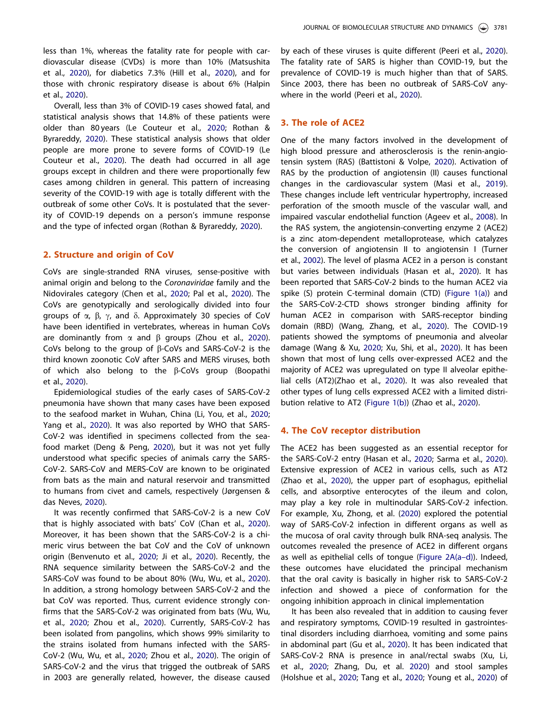less than 1%, whereas the fatality rate for people with cardiovascular disease (CVDs) is more than 10% (Matsushita et al., 2020), for diabetics 7.3% (Hill et al., 2020), and for those with chronic respiratory disease is about 6% (Halpin et al., 2020).

Overall, less than 3% of COVID-19 cases showed fatal, and statistical analysis shows that 14.8% of these patients were older than 80 years (Le Couteur et al., 2020; Rothan & Byrareddy, 2020). These statistical analysis shows that older people are more prone to severe forms of COVID-19 (Le Couteur et al., 2020). The death had occurred in all age groups except in children and there were proportionally few cases among children in general. This pattern of increasing severity of the COVID-19 with age is totally different with the outbreak of some other CoVs. It is postulated that the severity of COVID-19 depends on a person's immune response and the type of infected organ (Rothan & Byrareddy, 2020).

#### 2. Structure and origin of CoV

CoVs are single-stranded RNA viruses, sense-positive with animal origin and belong to the *Coronaviridae* family and the Nidovirales category (Chen et al., 2020; Pal et al., 2020). The CoVs are genotypically and serologically divided into four groups of  $\alpha$ ,  $\beta$ ,  $\gamma$ , and  $\delta$ . Approximately 30 species of CoV have been identified in vertebrates, whereas in human CoVs are dominantly from  $\alpha$  and  $\beta$  groups (Zhou et al., 2020). CoVs belong to the group of  $\beta$ -CoVs and SARS-CoV-2 is the third known zoonotic CoV after SARS and MERS viruses, both of which also belong to the  $\beta$ -CoVs group (Boopathi et al., 2020).

Epidemiological studies of the early cases of SARS-CoV-2 pneumonia have shown that many cases have been exposed to the seafood market in Wuhan, China (Li, You, et al., 2020; Yang et al., 2020). It was also reported by WHO that SARS-CoV-2 was identified in specimens collected from the seafood market (Deng & Peng, 2020), but it was not yet fully understood what specific species of animals carry the SARS-CoV-2. SARS-CoV and MERS-CoV are known to be originated from bats as the main and natural reservoir and transmitted to humans from civet and camels, respectively (Jørgensen & das Neves, 2020).

It was recently confirmed that SARS-CoV-2 is a new CoV that is highly associated with bats' CoV (Chan et al., 2020). Moreover, it has been shown that the SARS-CoV-2 is a chimeric virus between the bat CoV and the CoV of unknown origin (Benvenuto et al., 2020; Ji et al., 2020). Recently, the RNA sequence similarity between the SARS-CoV-2 and the SARS-CoV was found to be about 80% (Wu, Wu, et al., 2020). In addition, a strong homology between SARS-CoV-2 and the bat CoV was reported. Thus, current evidence strongly confirms that the SARS-CoV-2 was originated from bats (Wu, Wu, et al., 2020; Zhou et al., 2020). Currently, SARS-CoV-2 has been isolated from pangolins, which shows 99% similarity to the strains isolated from humans infected with the SARS-CoV-2 (Wu, Wu, et al., 2020; Zhou et al., 2020). The origin of SARS-CoV-2 and the virus that trigged the outbreak of SARS in 2003 are generally related, however, the disease caused

by each of these viruses is quite different (Peeri et al., 2020). The fatality rate of SARS is higher than COVID-19, but the prevalence of COVID-19 is much higher than that of SARS. Since 2003, there has been no outbreak of SARS-CoV anywhere in the world (Peeri et al., 2020).

#### 3. The role of ACE2

One of the many factors involved in the development of high blood pressure and atherosclerosis is the renin-angiotensin system (RAS) (Battistoni & Volpe, 2020). Activation of RAS by the production of angiotensin (II) causes functional changes in the cardiovascular system (Masi et al., 2019). These changes include left ventricular hypertrophy, increased perforation of the smooth muscle of the vascular wall, and impaired vascular endothelial function (Ageev et al., 2008). In the RAS system, the angiotensin-converting enzyme 2 (ACE2) is a zinc atom-dependent metalloprotease, which catalyzes the conversion of angiotensin II to angiotensin I (Turner et al., 2002). The level of plasma ACE2 in a person is constant but varies between individuals (Hasan et al., 2020). It has been reported that SARS-CoV-2 binds to the human ACE2 via spike (S) protein C-terminal domain (CTD) (Figure 1(a)) and the SARS-CoV-2-CTD shows stronger binding affinity for human ACE2 in comparison with SARS-receptor binding domain (RBD) (Wang, Zhang, et al., 2020). The COVID-19 patients showed the symptoms of pneumonia and alveolar damage (Wang & Xu, 2020; Xu, Shi, et al., 2020). It has been shown that most of lung cells over-expressed ACE2 and the majority of ACE2 was upregulated on type II alveolar epithelial cells (AT2)(Zhao et al., 2020). It was also revealed that other types of lung cells expressed ACE2 with a limited distribution relative to AT2 (Figure 1(b)) (Zhao et al., 2020).

## 4. The CoV receptor distribution

The ACE2 has been suggested as an essential receptor for the SARS-CoV-2 entry (Hasan et al., 2020; Sarma et al., 2020). Extensive expression of ACE2 in various cells, such as AT2 (Zhao et al., 2020), the upper part of esophagus, epithelial cells, and absorptive enterocytes of the ileum and colon, may play a key role in multinodular SARS-CoV-2 infection. For example, Xu, Zhong, et al. (2020) explored the potential way of SARS-CoV-2 infection in different organs as well as the mucosa of oral cavity through bulk RNA-seq analysis. The outcomes revealed the presence of ACE2 in different organs as well as epithelial cells of tongue (Figure 2A(a–d)). Indeed, these outcomes have elucidated the principal mechanism that the oral cavity is basically in higher risk to SARS-CoV-2 infection and showed a piece of conformation for the ongoing inhibition approach in clinical implementation

It has been also revealed that in addition to causing fever and respiratory symptoms, COVID-19 resulted in gastrointestinal disorders including diarrhoea, vomiting and some pains in abdominal part (Gu et al., 2020). It has been indicated that SARS-CoV-2 RNA is presence in anal/rectal swabs (Xu, Li, et al., 2020; Zhang, Du, et al. 2020) and stool samples (Holshue et al., 2020; Tang et al., 2020; Young et al., 2020) of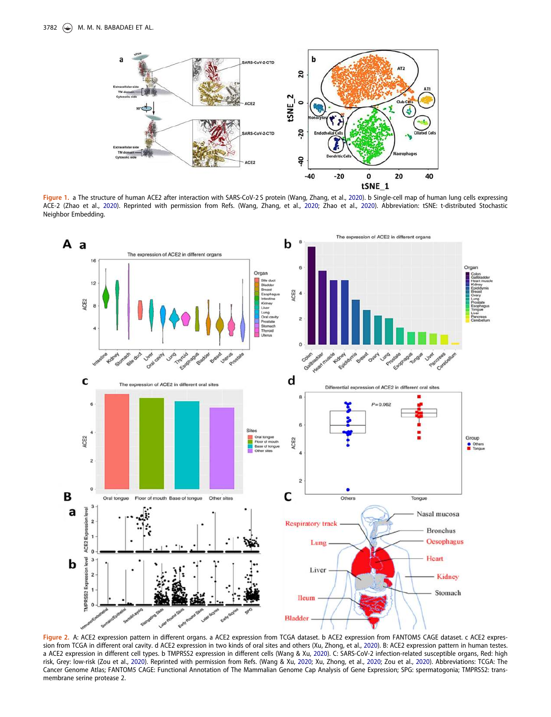

Figure 1. a The structure of human ACE2 after interaction with SARS-CoV-2S protein (Wang, Zhang, et al., 2020). b Single-cell map of human lung cells expressing ACE-2 (Zhao et al., 2020). Reprinted with permission from Refs. (Wang, Zhang, et al., 2020; Zhao et al., 2020). Abbreviation: tSNE: t-distributed Stochastic Neighbor Embedding.



Figure 2. A: ACE2 expression pattern in different organs. a ACE2 expression from TCGA dataset. b ACE2 expression from FANTOM5 CAGE dataset. c ACE2 expression from TCGA in different oral cavity. d ACE2 expression in two kinds of oral sites and others (Xu, Zhong, et al., 2020). B: ACE2 expression pattern in human testes. a ACE2 expression in different cell types. b TMPRSS2 expression in different cells (Wang & Xu, 2020). C: SARS-CoV-2 infection-related susceptible organs, Red: high risk, Grey: low-risk (Zou et al., 2020). Reprinted with permission from Refs. (Wang & Xu, 2020; Xu, Zhong, et al., 2020; Zou et al., 2020). Abbreviations: TCGA: The Cancer Genome Atlas; FANTOM5 CAGE: Functional Annotation of The Mammalian Genome Cap Analysis of Gene Expression; SPG: spermatogonia; TMPRSS2: transmembrane serine protease 2.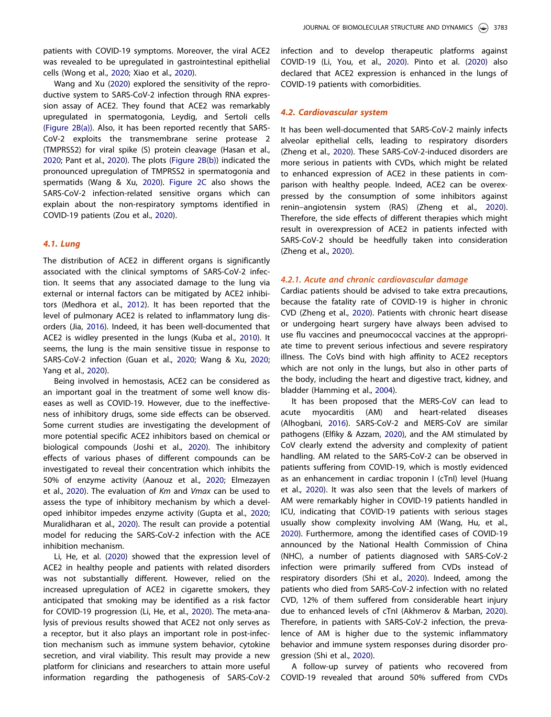patients with COVID-19 symptoms. Moreover, the viral ACE2 was revealed to be upregulated in gastrointestinal epithelial cells (Wong et al., 2020; Xiao et al., 2020).

Wang and Xu (2020) explored the sensitivity of the reproductive system to SARS-CoV-2 infection through RNA expression assay of ACE2. They found that ACE2 was remarkably upregulated in spermatogonia, Leydig, and Sertoli cells (Figure 2B(a)). Also, it has been reported recently that SARS-CoV-2 exploits the transmembrane serine protease 2 (TMPRSS2) for viral spike (S) protein cleavage (Hasan et al., 2020; Pant et al., 2020). The plots (Figure 2B(b)) indicated the pronounced upregulation of TMPRSS2 in spermatogonia and spermatids (Wang & Xu, 2020). Figure 2C also shows the SARS-CoV-2 infection-related sensitive organs which can explain about the non-respiratory symptoms identified in COVID-19 patients (Zou et al., 2020).

## 4.1. Lung

The distribution of ACE2 in different organs is significantly associated with the clinical symptoms of SARS-CoV-2 infection. It seems that any associated damage to the lung via external or internal factors can be mitigated by ACE2 inhibitors (Medhora et al., 2012). It has been reported that the level of pulmonary ACE2 is related to inflammatory lung disorders (Jia, 2016). Indeed, it has been well-documented that ACE2 is widley presented in the lungs (Kuba et al., 2010). It seems, the lung is the main sensitive tissue in response to SARS-CoV-2 infection (Guan et al., 2020; Wang & Xu, 2020; Yang et al., 2020).

Being involved in hemostasis, ACE2 can be considered as an important goal in the treatment of some well know diseases as well as COVID-19. However, due to the ineffectiveness of inhibitory drugs, some side effects can be observed. Some current studies are investigating the development of more potential specific ACE2 inhibitors based on chemical or biological compounds (Joshi et al., 2020). The inhibitory effects of various phases of different compounds can be investigated to reveal their concentration which inhibits the 50% of enzyme activity (Aanouz et al., 2020; Elmezayen et al., 2020). The evaluation of *Km* and *Vmax* can be used to assess the type of inhibitory mechanism by which a developed inhibitor impedes enzyme activity (Gupta et al., 2020; Muralidharan et al., 2020). The result can provide a potential model for reducing the SARS-CoV-2 infection with the ACE inhibition mechanism.

Li, He, et al. (2020) showed that the expression level of ACE2 in healthy people and patients with related disorders was not substantially different. However, relied on the increased upregulation of ACE2 in cigarette smokers, they anticipated that smoking may be identified as a risk factor for COVID-19 progression (Li, He, et al., 2020). The meta-analysis of previous results showed that ACE2 not only serves as a receptor, but it also plays an important role in post-infection mechanism such as immune system behavior, cytokine secretion, and viral viability. This result may provide a new platform for clinicians and researchers to attain more useful information regarding the pathogenesis of SARS-CoV-2 infection and to develop therapeutic platforms against COVID-19 (Li, You, et al., 2020). Pinto et al. (2020) also declared that ACE2 expression is enhanced in the lungs of COVID-19 patients with comorbidities.

#### 4.2. Cardiovascular system

It has been well-documented that SARS-CoV-2 mainly infects alveolar epithelial cells, leading to respiratory disorders (Zheng et al., 2020). These SARS-CoV-2-induced disorders are more serious in patients with CVDs, which might be related to enhanced expression of ACE2 in these patients in comparison with healthy people. Indeed, ACE2 can be overexpressed by the consumption of some inhibitors against renin–angiotensin system (RAS) (Zheng et al., 2020). Therefore, the side effects of different therapies which might result in overexpression of ACE2 in patients infected with SARS-CoV-2 should be heedfully taken into consideration (Zheng et al., 2020).

#### 4.2.1. Acute and chronic cardiovascular damage

Cardiac patients should be advised to take extra precautions, because the fatality rate of COVID-19 is higher in chronic CVD (Zheng et al., 2020). Patients with chronic heart disease or undergoing heart surgery have always been advised to use flu vaccines and pneumococcal vaccines at the appropriate time to prevent serious infectious and severe respiratory illness. The CoVs bind with high affinity to ACE2 receptors which are not only in the lungs, but also in other parts of the body, including the heart and digestive tract, kidney, and bladder (Hamming et al., 2004).

It has been proposed that the MERS-CoV can lead to acute myocarditis (AM) and heart-related diseases (Alhogbani, 2016). SARS-CoV-2 and MERS-CoV are similar pathogens (Elfiky & Azzam, 2020), and the AM stimulated by CoV clearly extend the adversity and complexity of patient handling. AM related to the SARS-CoV-2 can be observed in patients suffering from COVID-19, which is mostly evidenced as an enhancement in cardiac troponin I (cTnI) level (Huang et al., 2020). It was also seen that the levels of markers of AM were remarkably higher in COVID-19 patients handled in ICU, indicating that COVID-19 patients with serious stages usually show complexity involving AM (Wang, Hu, et al., 2020). Furthermore, among the identified cases of COVID-19 announced by the National Health Commission of China (NHC), a number of patients diagnosed with SARS-CoV-2 infection were primarily suffered from CVDs instead of respiratory disorders (Shi et al., 2020). Indeed, among the patients who died from SARS-CoV-2 infection with no related CVD, 12% of them suffered from considerable heart injury due to enhanced levels of cTnI (Akhmerov & Marban, 2020). Therefore, in patients with SARS-CoV-2 infection, the prevalence of AM is higher due to the systemic inflammatory behavior and immune system responses during disorder progression (Shi et al., 2020).

A follow-up survey of patients who recovered from COVID-19 revealed that around 50% suffered from CVDs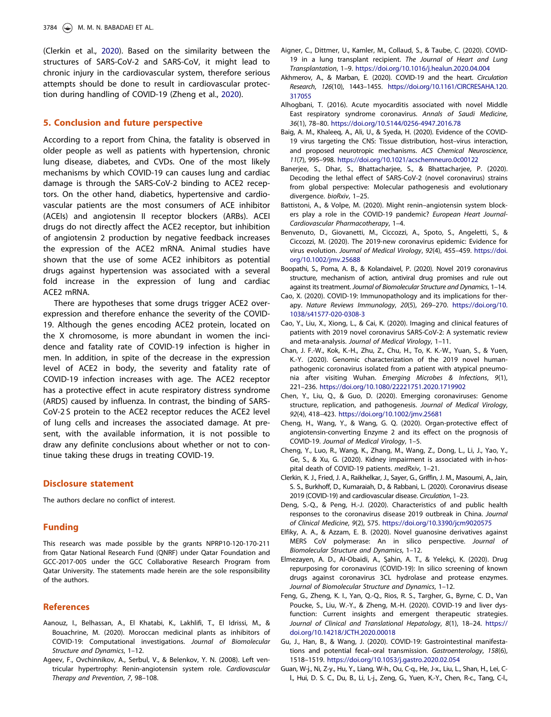(Clerkin et al., 2020). Based on the similarity between the structures of SARS-CoV-2 and SARS-CoV, it might lead to chronic injury in the cardiovascular system, therefore serious attempts should be done to result in cardiovascular protection during handling of COVID-19 (Zheng et al., 2020).

#### 5. Conclusion and future perspective

According to a report from China, the fatality is observed in older people as well as patients with hypertension, chronic lung disease, diabetes, and CVDs. One of the most likely mechanisms by which COVID-19 can causes lung and cardiac damage is through the SARS-CoV-2 binding to ACE2 receptors. On the other hand, diabetics, hypertensive and cardiovascular patients are the most consumers of ACE inhibitor (ACEIs) and angiotensin II receptor blockers (ARBs). ACEI drugs do not directly affect the ACE2 receptor, but inhibition of angiotensin 2 production by negative feedback increases the expression of the ACE2 mRNA. Animal studies have shown that the use of some ACE2 inhibitors as potential drugs against hypertension was associated with a several fold increase in the expression of lung and cardiac ACE2 mRNA.

There are hypotheses that some drugs trigger ACE2 overexpression and therefore enhance the severity of the COVID-19. Although the genes encoding ACE2 protein, located on the X chromosome, is more abundant in women the incidence and fatality rate of COVID-19 infection is higher in men. In addition, in spite of the decrease in the expression level of ACE2 in body, the severity and fatality rate of COVID-19 infection increases with age. The ACE2 receptor has a protective effect in acute respiratory distress syndrome (ARDS) caused by influenza. In contrast, the binding of SARS-CoV-2 S protein to the ACE2 receptor reduces the ACE2 level of lung cells and increases the associated damage. At present, with the available information, it is not possible to draw any definite conclusions about whether or not to continue taking these drugs in treating COVID-19.

#### Disclosure statement

The authors declare no conflict of interest.

#### Funding

This research was made possible by the grants NPRP10-120-170-211 from Qatar National Research Fund (QNRF) under Qatar Foundation and GCC-2017-005 under the GCC Collaborative Research Program from Qatar University. The statements made herein are the sole responsibility of the authors.

#### References

- Aanouz, I., Belhassan, A., El Khatabi, K., Lakhlifi, T., El Idrissi, M., & Bouachrine, M. (2020). Moroccan medicinal plants as inhibitors of COVID-19: Computational investigations. *Journal of Biomolecular Structure and Dynamics*, 1–12.
- Ageev, F., Ovchinnikov, A., Serbul, V., & Belenkov, Y. N. (2008). Left ventricular hypertrophy: Renin-angiotensin system role. *Cardiovascular Therapy and Prevention*, *7*, 98–108.
- Aigner, C., Dittmer, U., Kamler, M., Collaud, S., & Taube, C. (2020). COVID-19 in a lung transplant recipient. *The Journal of Heart and Lung Transplantation*, 1–9. https://doi.org/10.1016/j.healun.2020.04.004
- Akhmerov, A., & Marban, E. (2020). COVID-19 and the heart. *Circulation Research*, *126*(10), 1443–1455. https://doi.org/10.1161/CIRCRESAHA.120. 317055
- Alhogbani, T. (2016). Acute myocarditis associated with novel Middle East respiratory syndrome coronavirus. *Annals of Saudi Medicine*, *36*(1), 78–80. https://doi.org/10.5144/0256-4947.2016.78
- Baig, A. M., Khaleeq, A., Ali, U., & Syeda, H. (2020). Evidence of the COVID-19 virus targeting the CNS: Tissue distribution, host–virus interaction, and proposed neurotropic mechanisms. *ACS Chemical Neuroscience*, *11*(7), 995–998. https://doi.org/10.1021/acschemneuro.0c00122
- Banerjee, S., Dhar, S., Bhattacharjee, S., & Bhattacharjee, P. (2020). Decoding the lethal effect of SARS-CoV-2 (novel coronavirus) strains from global perspective: Molecular pathogenesis and evolutionary divergence. *bioRxiv*, 1–25.
- Battistoni, A., & Volpe, M. (2020). Might renin–angiotensin system blockers play a role in the COVID-19 pandemic? *European Heart Journal-Cardiovascular Pharmacotherapy*, 1–4.
- Benvenuto, D., Giovanetti, M., Ciccozzi, A., Spoto, S., Angeletti, S., & Ciccozzi, M. (2020). The 2019-new coronavirus epidemic: Evidence for virus evolution. *Journal of Medical Virology*, *92*(4), 455–459. https://doi. org/10.1002/jmv.25688
- Boopathi, S., Poma, A. B., & Kolandaivel, P. (2020). Novel 2019 coronavirus structure, mechanism of action, antiviral drug promises and rule out against its treatment. *Journal of Biomolecular Structure and Dynamics*, 1–14.
- Cao, X. (2020). COVID-19: Immunopathology and its implications for therapy. *Nature Reviews Immunology*, *20*(5), 269–270. https://doi.org/10. 1038/s41577-020-0308-3
- Cao, Y., Liu, X., Xiong, L., & Cai, K. (2020). Imaging and clinical features of patients with 2019 novel coronavirus SARS-CoV-2: A systematic review and meta-analysis. *Journal of Medical Virology*, 1–11.
- Chan, J. F.-W., Kok, K.-H., Zhu, Z., Chu, H., To, K. K.-W., Yuan, S., & Yuen, K.-Y. (2020). Genomic characterization of the 2019 novel humanpathogenic coronavirus isolated from a patient with atypical pneumonia after visiting Wuhan. *Emerging Microbes & Infections*, *9*(1), 221–236. https://doi.org/10.1080/22221751.2020.1719902
- Chen, Y., Liu, Q., & Guo, D. (2020). Emerging coronaviruses: Genome structure, replication, and pathogenesis. *Journal of Medical Virology*, *92*(4), 418–423. https://doi.org/10.1002/jmv.25681
- Cheng, H., Wang, Y., & Wang, G. Q. (2020). Organ-protective effect of angiotensin-converting Enzyme 2 and its effect on the prognosis of COVID-19. *Journal of Medical Virology*, 1–5.
- Cheng, Y., Luo, R., Wang, K., Zhang, M., Wang, Z., Dong, L., Li, J., Yao, Y., Ge, S., & Xu, G. (2020). Kidney impairment is associated with in-hospital death of COVID-19 patients. *medRxiv*, 1–21.
- Clerkin, K. J., Fried, J. A., Raikhelkar, J., Sayer, G., Griffin, J. M., Masoumi, A., Jain, S. S., Burkhoff, D., Kumaraiah, D., & Rabbani, L. (2020). Coronavirus disease 2019 (COVID-19) and cardiovascular disease. *Circulation*, 1–23.
- Deng, S.-Q., & Peng, H.-J. (2020). Characteristics of and public health responses to the coronavirus disease 2019 outbreak in China. *Journal of Clinical Medicine*, *9*(2), 575. https://doi.org/10.3390/jcm9020575
- Elfiky, A. A., & Azzam, E. B. (2020). Novel guanosine derivatives against MERS CoV polymerase: An in silico perspective. *Journal of Biomolecular Structure and Dynamics*, 1–12.
- Elmezayen, A. D., Al-Obaidi, A., Şahin, A. T., & Yelekçi, K. (2020). Drug repurposing for coronavirus (COVID-19): In silico screening of known drugs against coronavirus 3CL hydrolase and protease enzymes. *Journal of Biomolecular Structure and Dynamics*, 1–12.
- Feng, G., Zheng, K. I., Yan, Q.-Q., Rios, R. S., Targher, G., Byrne, C. D., Van Poucke, S., Liu, W.-Y., & Zheng, M.-H. (2020). COVID-19 and liver dysfunction: Current insights and emergent therapeutic strategies. *Journal of Clinical and Translational Hepatology*, *8*(1), 18–24. https:// doi.org/10.14218/JCTH.2020.00018
- Gu, J., Han, B., & Wang, J. (2020). COVID-19: Gastrointestinal manifestations and potential fecal–oral transmission. *Gastroenterology*, *158*(6), 1518–1519. https://doi.org/10.1053/j.gastro.2020.02.054
- Guan, W-j., Ni, Z-y., Hu, Y., Liang, W-h., Ou, C-q., He, J-x., Liu, L., Shan, H., Lei, Cl., Hui, D. S. C., Du, B., Li, L-j., Zeng, G., Yuen, K.-Y., Chen, R-c., Tang, C-l.,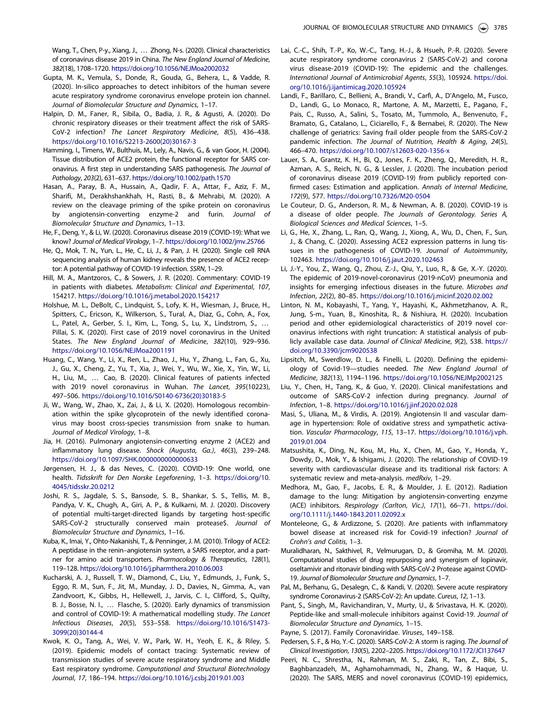Wang, T., Chen, P-y., Xiang, J., ... Zhong, N-s. (2020). Clinical characteristics of coronavirus disease 2019 in China. *The New England Journal of Medicine*, *382*(18), 1708–1720. https://doi.org/10.1056/NEJMoa2002032

- Gupta, M. K., Vemula, S., Donde, R., Gouda, G., Behera, L., & Vadde, R. (2020). In-silico approaches to detect inhibitors of the human severe acute respiratory syndrome coronavirus envelope protein ion channel. *Journal of Biomolecular Structure and Dynamics*, 1–17.
- Halpin, D. M., Faner, R., Sibila, O., Badia, J. R., & Agusti, A. (2020). Do chronic respiratory diseases or their treatment affect the risk of SARS-CoV-2 infection? *The Lancet Respiratory Medicine*, *8*(5), 436–438. https://doi.org/10.1016/S2213-2600(20)30167-3
- Hamming, I., Timens, W., Bulthuis, M., Lely, A., Navis, G., & van Goor, H. (2004). Tissue distribution of ACE2 protein, the functional receptor for SARS coronavirus. A first step in understanding SARS pathogenesis. *The Journal of Pathology*, *203*(2), 631–637. https://doi.org/10.1002/path.1570
- Hasan, A., Paray, B. A., Hussain, A., Qadir, F. A., Attar, F., Aziz, F. M., Sharifi, M., Derakhshankhah, H., Rasti, B., & Mehrabi, M. (2020). A review on the cleavage priming of the spike protein on coronavirus by angiotensin-converting enzyme-2 and furin. *Journal of Biomolecular Structure and Dynamics*, 1–13.
- He, F., Deng, Y., & Li, W. (2020). Coronavirus disease 2019 (COVID-19): What we know? *Journal of Medical Virology*, 1–7. https://doi.org/10.1002/jmv.25766
- He, Q., Mok, T. N., Yun, L., He, C., Li, J., & Pan, J. H. (2020). Single cell RNA sequencing analysis of human kidney reveals the presence of ACE2 receptor: A potential pathway of COVID-19 infection. *SSRN*, 1–29.
- Hill, M. A., Mantzoros, C., & Sowers, J. R. (2020). Commentary: COVID-19 in patients with diabetes. *Metabolism: Clinical and Experimental*, *107*, 154217. https://doi.org/10.1016/j.metabol.2020.154217
- Holshue, M. L., DeBolt, C., Lindquist, S., Lofy, K. H., Wiesman, J., Bruce, H., Spitters, C., Ericson, K., Wilkerson, S., Tural, A., Diaz, G., Cohn, A., Fox, L., Patel, A., Gerber, S. I., Kim, L., Tong, S., Lu, X., Lindstrom, S., … Pillai, S. K. (2020). First case of 2019 novel coronavirus in the United States. *The New England Journal of Medicine*, *382*(10), 929–936. https://doi.org/10.1056/NEJMoa2001191
- Huang, C., Wang, Y., Li, X., Ren, L., Zhao, J., Hu, Y., Zhang, L., Fan, G., Xu, J., Gu, X., Cheng, Z., Yu, T., Xia, J., Wei, Y., Wu, W., Xie, X., Yin, W., Li, H., Liu, M., … Cao, B. (2020). Clinical features of patients infected with 2019 novel coronavirus in Wuhan. *The Lancet*, *395*(10223), 497–506. https://doi.org/10.1016/S0140-6736(20)30183-5
- Ji, W., Wang, W., Zhao, X., Zai, J., & Li, X. (2020). Homologous recombination within the spike glycoprotein of the newly identified coronavirus may boost cross-species transmission from snake to human. *Journal of Medical Virology*, 1–8.
- Jia, H. (2016). Pulmonary angiotensin-converting enzyme 2 (ACE2) and inflammatory lung disease. *Shock (Augusta, Ga.)*, *46*(3), 239–248. https://doi.org/10.1097/SHK.0000000000000633
- Jørgensen, H. J., & das Neves, C. (2020). COVID-19: One world, one health. *Tidsskrift for Den Norske Legeforening*, 1–3. https://doi.org/10. 4045/tidsskr.20.0212
- Joshi, R. S., Jagdale, S. S., Bansode, S. B., Shankar, S. S., Tellis, M. B., Pandya, V. K., Chugh, A., Giri, A. P., & Kulkarni, M. J. (2020). Discovery of potential multi-target-directed ligands by targeting host-specific SARS-CoV-2 structurally conserved main protease\$. *Journal of Biomolecular Structure and Dynamics*, 1–16.
- Kuba, K., Imai, Y., Ohto-Nakanishi, T., & Penninger, J. M. (2010). Trilogy of ACE2: A peptidase in the renin–angiotensin system, a SARS receptor, and a partner for amino acid transporters. *Pharmacology & Therapeutics*, *128*(1), 119–128. https://doi.org/10.1016/j.pharmthera.2010.06.003
- Kucharski, A. J., Russell, T. W., Diamond, C., Liu, Y., Edmunds, J., Funk, S., Eggo, R. M., Sun, F., Jit, M., Munday, J. D., Davies, N., Gimma, A., van Zandvoort, K., Gibbs, H., Hellewell, J., Jarvis, C. I., Clifford, S., Quilty, B. J., Bosse, N. I., … Flasche, S. (2020). Early dynamics of transmission and control of COVID-19: A mathematical modelling study. *The Lancet Infectious Diseases*, *20*(5), 553–558. https://doi.org/10.1016/S1473- 3099(20)30144-4
- Kwok, K. O., Tang, A., Wei, V. W., Park, W. H., Yeoh, E. K., & Riley, S. (2019). Epidemic models of contact tracing: Systematic review of transmission studies of severe acute respiratory syndrome and Middle East respiratory syndrome. *Computational and Structural Biotechnology Journal*, *17*, 186–194. https://doi.org/10.1016/j.csbj.2019.01.003
- Lai, C.-C., Shih, T.-P., Ko, W.-C., Tang, H.-J., & Hsueh, P.-R. (2020). Severe acute respiratory syndrome coronavirus 2 (SARS-CoV-2) and corona virus disease-2019 (COVID-19): The epidemic and the challenges. *International Journal of Antimicrobial Agents*, *55*(3), 105924. https://doi. org/10.1016/j.ijantimicag.2020.105924
- Landi, F., Barillaro, C., Bellieni, A., Brandi, V., Carfı, A., D'Angelo, M., Fusco, D., Landi, G., Lo Monaco, R., Martone, A. M., Marzetti, E., Pagano, F., Pais, C., Russo, A., Salini, S., Tosato, M., Tummolo, A., Benvenuto, F., Bramato, G., Catalano, L., Ciciarello, F., & Bernabei, R. (2020). The New challenge of geriatrics: Saving frail older people from the SARS-CoV-2 pandemic infection. *The Journal of Nutrition, Health & Aging*, *24*(5), 466–470. https://doi.org/10.1007/s12603-020-1356-x
- Lauer, S. A., Grantz, K. H., Bi, Q., Jones, F. K., Zheng, Q., Meredith, H. R., Azman, A. S., Reich, N. G., & Lessler, J. (2020). The incubation period of coronavirus disease 2019 (COVID-19) from publicly reported confirmed cases: Estimation and application. *Annals of Internal Medicine*, *172*(9), 577. https://doi.org/10.7326/M20-0504
- Le Couteur, D. G., Anderson, R. M., & Newman, A. B. (2020). COVID-19 is a disease of older people. *The Journals of Gerontology. Series A, Biological Sciences and Medical Sciences*, 1–5.
- Li, G., He, X., Zhang, L., Ran, Q., Wang, J., Xiong, A., Wu, D., Chen, F., Sun, J., & Chang, C. (2020). Assessing ACE2 expression patterns in lung tissues in the pathogenesis of COVID-19. *Journal of Autoimmunity*, 102463. https://doi.org/10.1016/j.jaut.2020.102463
- Li, J.-Y., You, Z., Wang, Q., Zhou, Z.-J., Qiu, Y., Luo, R., & Ge, X.-Y. (2020). The epidemic of 2019-novel-coronavirus (2019-nCoV) pneumonia and insights for emerging infectious diseases in the future. *Microbes and Infection*, *22*(2), 80–85. https://doi.org/10.1016/j.micinf.2020.02.002
- Linton, N. M., Kobayashi, T., Yang, Y., Hayashi, K., Akhmetzhanov, A. R., Jung, S-m., Yuan, B., Kinoshita, R., & Nishiura, H. (2020). Incubation period and other epidemiological characteristics of 2019 novel coronavirus infections with right truncation: A statistical analysis of publicly available case data. *Journal of Clinical Medicine*, *9*(2), 538. https:// doi.org/10.3390/jcm9020538
- Lipsitch, M., Swerdlow, D. L., & Finelli, L. (2020). Defining the epidemiology of Covid-19—studies needed. *The New England Journal of Medicine*, *382*(13), 1194–1196. https://doi.org/10.1056/NEJMp2002125
- Liu, Y., Chen, H., Tang, K., & Guo, Y. (2020). Clinical manifestations and outcome of SARS-CoV-2 infection during pregnancy. *Journal of Infection*, 1–8. https://doi.org/10.1016/j.jinf.2020.02.028
- Masi, S., Uliana, M., & Virdis, A. (2019). Angiotensin II and vascular damage in hypertension: Role of oxidative stress and sympathetic activation. *Vascular Pharmacology*, *115*, 13–17. https://doi.org/10.1016/j.vph. 2019.01.004
- Matsushita, K., Ding, N., Kou, M., Hu, X., Chen, M., Gao, Y., Honda, Y., Dowdy, D., Mok, Y., & Ishigami, J. (2020). The relationship of COVID-19 severity with cardiovascular disease and its traditional risk factors: A systematic review and meta-analysis. *medRxiv*, 1–29.
- Medhora, M., Gao, F., Jacobs, E. R., & Moulder, J. E. (2012). Radiation damage to the lung: Mitigation by angiotensin-converting enzyme (ACE) inhibitors. *Respirology (Carlton, Vic.)*, *17*(1), 66–71. https://doi. org/10.1111/j.1440-1843.2011.02092.x
- Monteleone, G., & Ardizzone, S. (2020). Are patients with inflammatory bowel disease at increased risk for Covid-19 infection? *Journal of Crohn*'*s and Colitis*, 1–3.
- Muralidharan, N., Sakthivel, R., Velmurugan, D., & Gromiha, M. M. (2020). Computational studies of drug repurposing and synergism of lopinavir, oseltamivir and ritonavir binding with SARS-CoV-2 Protease against COVID-19. *Journal of Biomolecular Structure and Dynamics*, 1–7.
- Pal, M., Berhanu, G., Desalegn, C., & Kandi, V. (2020). Severe acute respiratory syndrome Coronavirus-2 (SARS-CoV-2): An update. *Cureus*, *12*, 1–13.
- Pant, S., Singh, M., Ravichandiran, V., Murty, U., & Srivastava, H. K. (2020). Peptide-like and small-molecule inhibitors against Covid-19. *Journal of Biomolecular Structure and Dynamics*, 1–15.
- Payne, S. (2017). Family Coronaviridae. *Viruses*, 149–158.
- Pedersen, S. F., & Ho, Y.-C. (2020). SARS-CoV-2: A storm is raging. *The Journal of Clinical Investigation*, *130*(5), 2202–2205. https://doi.org/10.1172/JCI137647
- Peeri, N. C., Shrestha, N., Rahman, M. S., Zaki, R., Tan, Z., Bibi, S., Baghbanzadeh, M., Aghamohammadi, N., Zhang, W., & Haque, U. (2020). The SARS, MERS and novel coronavirus (COVID-19) epidemics,